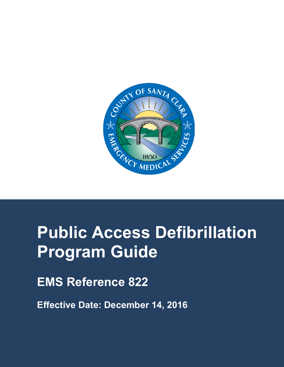

# **Public Access Defibrillation Program Guide**

**EMS Reference 822**

**Effective Date: December 14, 2016**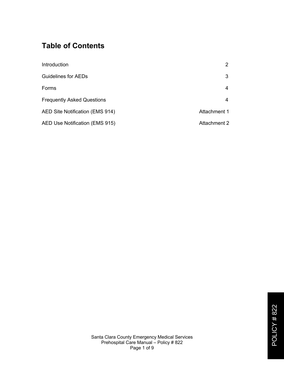# **Table of Contents**

| Introduction                      | 2            |
|-----------------------------------|--------------|
| <b>Guidelines for AEDs</b>        | 3            |
| Forms                             | 4            |
| <b>Frequently Asked Questions</b> | 4            |
| AED Site Notification (EMS 914)   | Attachment 1 |
| AED Use Notification (EMS 915)    | Attachment 2 |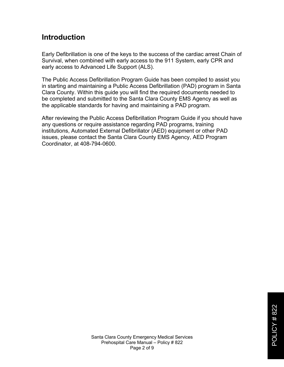## **Introduction**

Early Defibrillation is one of the keys to the success of the cardiac arrest Chain of Survival, when combined with early access to the 911 System, early CPR and early access to Advanced Life Support (ALS).

The Public Access Defibrillation Program Guide has been compiled to assist you in starting and maintaining a Public Access Defibrillation (PAD) program in Santa Clara County. Within this guide you will find the required documents needed to be completed and submitted to the Santa Clara County EMS Agency as well as the applicable standards for having and maintaining a PAD program.

After reviewing the Public Access Defibrillation Program Guide if you should have any questions or require assistance regarding PAD programs, training institutions, Automated External Defibrillator (AED) equipment or other PAD issues, please contact the Santa Clara County EMS Agency, AED Program Coordinator, at 408-794-0600.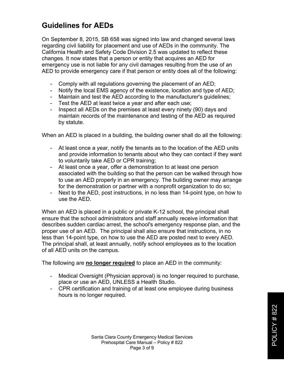# **Guidelines for AEDs**

On September 8, 2015, SB 658 was signed into law and changed several laws regarding civil liability for placement and use of AEDs in the community. The California Health and Safety Code Division 2.5 was updated to reflect these changes. It now states that a person or entity that acquires an AED for emergency use is not liable for any civil damages resulting from the use of an AED to provide emergency care if that person or entity does all of the following:

- Comply with all regulations governing the placement of an AED;
- Notify the local EMS agency of the existence, location and type of AED;
- Maintain and test the AED according to the manufacturer's guidelines;
- Test the AED at least twice a year and after each use;
- Inspect all AEDs on the premises at least every ninety (90) days and maintain records of the maintenance and testing of the AED as required by statute.

When an AED is placed in a building, the building owner shall do all the following:

- At least once a year, notify the tenants as to the location of the AED units and provide information to tenants about who they can contact if they want to voluntarily take AED or CPR training;
- At least once a year, offer a demonstration to at least one person associated with the building so that the person can be walked through how to use an AED properly in an emergency. The building owner may arrange for the demonstration or partner with a nonprofit organization to do so;
- Next to the AED, post instructions, in no less than 14-point type, on how to use the AED.

When an AED is placed in a public or private K-12 school, the principal shall ensure that the school administrators and staff annually receive information that describes sudden cardiac arrest, the school's emergency response plan, and the proper use of an AED. The principal shall also ensure that instructions, in no less than 14-point type, on how to use the AED are posted next to every AED. The principal shall, at least annually, notify school employees as to the location of all AED units on the campus.

The following are **no longer required** to place an AED in the community:

- Medical Oversight (Physician approval) is no longer required to purchase, place or use an AED, UNLESS a Health Studio.
- CPR certification and training of at least one employee during business hours is no longer required.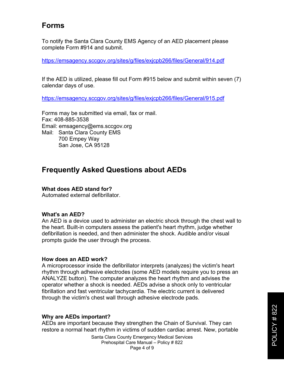## **Forms**

To notify the Santa Clara County EMS Agency of an AED placement please complete Form #914 and submit.

https://emsagency.sccgov.org/sites/g/files/exjcpb266/files/General/914.pdf

If the AED is utilized, please fill out Form #915 below and submit within seven (7) calendar days of use.

https://emsagency.sccgov.org/sites/g/files/exjcpb266/files/General/915.pdf

Forms may be submitted via email, fax or mail. Fax: 408-885-3538 Email: emsagency@ems.sccgov.org Mail: Santa Clara County EMS 700 Empey Way San Jose, CA 95128

## **Frequently Asked Questions about AEDs**

#### **What does AED stand for?**

Automated external defibrillator.

#### **What's an AED?**

An AED is a device used to administer an electric shock through the chest wall to the heart. Built-in computers assess the patient's heart rhythm, judge whether defibrillation is needed, and then administer the shock. Audible and/or visual prompts guide the user through the process.

#### **How does an AED work?**

A microprocessor inside the defibrillator interprets (analyzes) the victim's heart rhythm through adhesive electrodes (some AED models require you to press an ANALYZE button). The computer analyzes the heart rhythm and advises the operator whether a shock is needed. AEDs advise a shock only to ventricular fibrillation and fast ventricular tachycardia. The electric current is delivered through the victim's chest wall through adhesive electrode pads.

#### **Why are AEDs important?**

AEDs are important because they strengthen the Chain of Survival. They can restore a normal heart rhythm in victims of sudden cardiac arrest. New, portable

> Santa Clara County Emergency Medical Services Prehospital Care Manual – Policy # 822 Page 4 of 9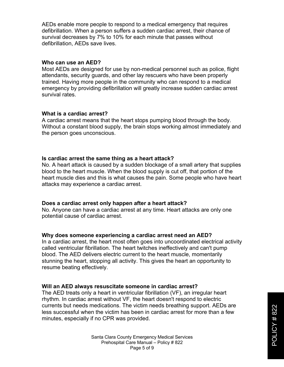AEDs enable more people to respond to a medical emergency that requires defibrillation. When a person suffers a sudden cardiac arrest, their chance of survival decreases by 7% to 10% for each minute that passes without defibrillation, AEDs save lives.

#### **Who can use an AED?**

Most AEDs are designed for use by non-medical personnel such as police, flight attendants, security guards, and other lay rescuers who have been properly trained. Having more people in the community who can respond to a medical emergency by providing defibrillation will greatly increase sudden cardiac arrest survival rates.

#### **What is a cardiac arrest?**

A cardiac arrest means that the heart stops pumping blood through the body. Without a constant blood supply, the brain stops working almost immediately and the person goes unconscious.

#### **Is cardiac arrest the same thing as a heart attack?**

No. A heart attack is caused by a sudden blockage of a small artery that supplies blood to the heart muscle. When the blood supply is cut off, that portion of the heart muscle dies and this is what causes the pain. Some people who have heart attacks may experience a cardiac arrest.

#### **Does a cardiac arrest only happen after a heart attack?**

No. Anyone can have a cardiac arrest at any time. Heart attacks are only one potential cause of cardiac arrest.

#### **Why does someone experiencing a cardiac arrest need an AED?**

In a cardiac arrest, the heart most often goes into uncoordinated electrical activity called ventricular fibrillation. The heart twitches ineffectively and can't pump blood. The AED delivers electric current to the heart muscle, momentarily stunning the heart, stopping all activity. This gives the heart an opportunity to resume beating effectively.

#### **Will an AED always resuscitate someone in cardiac arrest?**

The AED treats only a heart in ventricular fibrillation (VF), an irregular heart rhythm. In cardiac arrest without VF, the heart doesn't respond to electric currents but needs medications. The victim needs breathing support. AEDs are less successful when the victim has been in cardiac arrest for more than a few minutes, especially if no CPR was provided.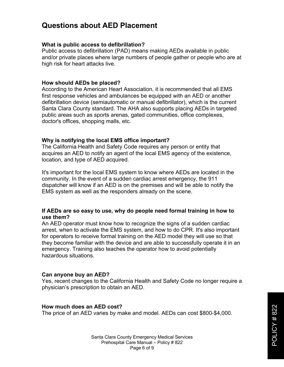## **Questions about AED Placement**

#### **What is public access to defibrillation?**

Public access to defibrillation (PAD) means making AEDs available in public and/or private places where large numbers of people gather or people who are at high risk for heart attacks live.

#### **How should AEDs be placed?**

According to the American Heart Association, it is recommended that all EMS first response vehicles and ambulances be equipped with an AED or another defibrillation device (semiautomatic or manual defibrillator), which is the current Santa Clara County standard. The AHA also supports placing AEDs in targeted public areas such as sports arenas, gated communities, office complexes, doctor's offices, shopping malls, etc.

#### **Why is notifying the local EMS office important?**

The California Health and Safety Code requires any person or entity that acquires an AED to notify an agent of the local EMS agency of the existence, location, and type of AED acquired.

It's important for the local EMS system to know where AEDs are located in the community. In the event of a sudden cardiac arrest emergency, the 911 dispatcher will know if an AED is on the premises and will be able to notify the EMS system as well as the responders already on the scene.

#### **If AEDs are so easy to use, why do people need formal training in how to use them?**

An AED operator must know how to recognize the signs of a sudden cardiac arrest, when to activate the EMS system, and how to do CPR. It's also important for operators to receive formal training on the AED model they will use so that they become familiar with the device and are able to successfully operate it in an emergency. Training also teaches the operator how to avoid potentially hazardous situations.

#### **Can anyone buy an AED?**

Yes, recent changes to the California Health and Safety Code no longer require a physician's prescription to obtain an AED.

#### **How much does an AED cost?**

The price of an AED varies by make and model. AEDs can cost \$800-\$4,000.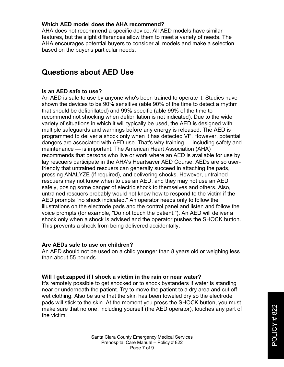#### **Which AED model does the AHA recommend?**

AHA does not recommend a specific device. All AED models have similar features, but the slight differences allow them to meet a variety of needs. The AHA encourages potential buyers to consider all models and make a selection based on the buyer's particular needs.

## **Questions about AED Use**

#### **Is an AED safe to use?**

An AED is safe to use by anyone who's been trained to operate it. Studies have shown the devices to be 90% sensitive (able 90% of the time to detect a rhythm that should be defibrillated) and 99% specific (able 99% of the time to recommend not shocking when defibrillation is not indicated). Due to the wide variety of situations in which it will typically be used, the AED is designed with multiple safeguards and warnings before any energy is released. The AED is programmed to deliver a shock only when it has detected VF. However, potential dangers are associated with AED use. That's why training — including safety and maintenance — is important. The American Heart Association (AHA) recommends that persons who live or work where an AED is available for use by lay rescuers participate in the AHA's Heartsaver AED Course. AEDs are so userfriendly that untrained rescuers can generally succeed in attaching the pads, pressing ANALYZE (if required), and delivering shocks. However, untrained rescuers may not know when to use an AED, and they may not use an AED safely, posing some danger of electric shock to themselves and others. Also, untrained rescuers probably would not know how to respond to the victim if the AED prompts "no shock indicated." An operator needs only to follow the illustrations on the electrode pads and the control panel and listen and follow the voice prompts (for example, "Do not touch the patient."). An AED will deliver a shock only when a shock is advised and the operator pushes the SHOCK button. This prevents a shock from being delivered accidentally.

#### **Are AEDs safe to use on children?**

An AED should not be used on a child younger than 8 years old or weighing less than about 55 pounds.

#### **Will I get zapped if I shock a victim in the rain or near water?**

It's remotely possible to get shocked or to shock bystanders if water is standing near or underneath the patient. Try to move the patient to a dry area and cut off wet clothing. Also be sure that the skin has been toweled dry so the electrode pads will stick to the skin. At the moment you press the SHOCK button, you must make sure that no one, including yourself (the AED operator), touches any part of the victim.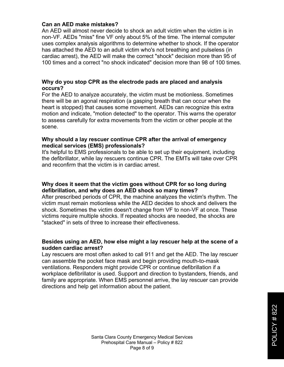#### **Can an AED make mistakes?**

An AED will almost never decide to shock an adult victim when the victim is in non-VF. AEDs "miss" fine VF only about 5% of the time. The internal computer uses complex analysis algorithms to determine whether to shock. If the operator has attached the AED to an adult victim who's not breathing and pulseless (in cardiac arrest), the AED will make the correct "shock" decision more than 95 of 100 times and a correct "no shock indicated" decision more than 98 of 100 times.

#### **Why do you stop CPR as the electrode pads are placed and analysis occurs?**

For the AED to analyze accurately, the victim must be motionless. Sometimes there will be an agonal respiration (a gasping breath that can occur when the heart is stopped) that causes some movement. AEDs can recognize this extra motion and indicate, "motion detected" to the operator. This warns the operator to assess carefully for extra movements from the victim or other people at the scene.

#### **Why should a lay rescuer continue CPR after the arrival of emergency medical services (EMS) professionals?**

It's helpful to EMS professionals to be able to set up their equipment, including the defibrillator, while lay rescuers continue CPR. The EMTs will take over CPR and reconfirm that the victim is in cardiac arrest.

#### **Why does it seem that the victim goes without CPR for so long during defibrillation, and why does an AED shock so many times?**

After prescribed periods of CPR, the machine analyzes the victim's rhythm. The victim must remain motionless while the AED decides to shock and delivers the shock. Sometimes the victim doesn't change from VF to non-VF at once. These victims require multiple shocks. If repeated shocks are needed, the shocks are "stacked" in sets of three to increase their effectiveness.

#### **Besides using an AED, how else might a lay rescuer help at the scene of a sudden cardiac arrest?**

Lay rescuers are most often asked to call 911 and get the AED. The lay rescuer can assemble the pocket face mask and begin providing mouth-to-mask ventilations. Responders might provide CPR or continue defibrillation if a workplace defibrillator is used. Support and direction to bystanders, friends, and family are appropriate. When EMS personnel arrive, the lay rescuer can provide directions and help get information about the patient.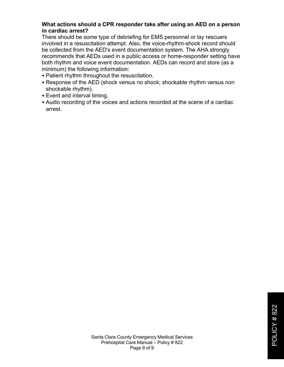#### **What actions should a CPR responder take after using an AED on a person in cardiac arrest?**

There should be some type of debriefing for EMS personnel or lay rescuers involved in a resuscitation attempt. Also, the voice-rhythm-shock record should be collected from the AED's event documentation system. The AHA strongly recommends that AEDs used in a public access or home-responder setting have both rhythm and voice event documentation. AEDs can record and store (as a minimum) the following information:

- Patient rhythm throughout the resuscitation.
- Response of the AED (shock versus no shock; shockable rhythm versus non shockable rhythm).
- Event and interval timing.
- Audio recording of the voices and actions recorded at the scene of a cardiac arrest.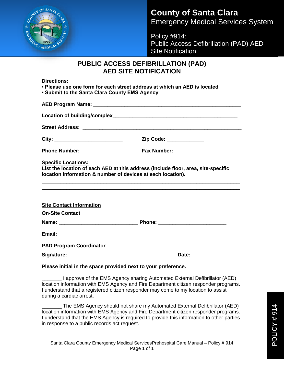

# **County of Santa Clara** Emergency Medical Services System

Policy #914: Public Access Defibrillation (PAD) AED Site Notification

### **PUBLIC ACCESS DEFIBRILLATION (PAD) AED SITE NOTIFICATION**

**Directions:**

**• Please use one form for each street address at which an AED is located • Submit to the Santa Clara County EMS Agency**

|                                                                                                                           | Zip Code: ____________                                                                                                                           |  |
|---------------------------------------------------------------------------------------------------------------------------|--------------------------------------------------------------------------------------------------------------------------------------------------|--|
|                                                                                                                           |                                                                                                                                                  |  |
|                                                                                                                           |                                                                                                                                                  |  |
|                                                                                                                           | List the location of each AED at this address (include floor, area, site-specific<br>location information & number of devices at each location). |  |
|                                                                                                                           |                                                                                                                                                  |  |
|                                                                                                                           |                                                                                                                                                  |  |
|                                                                                                                           |                                                                                                                                                  |  |
|                                                                                                                           |                                                                                                                                                  |  |
| <b>Specific Locations:</b><br><b>Site Contact Information</b><br><b>On-Site Contact</b><br><b>PAD Program Coordinator</b> |                                                                                                                                                  |  |

**Please initial in the space provided next to your preference.**

\_\_\_\_\_\_\_ I approve of the EMS Agency sharing Automated External Defibrillator (AED) location information with EMS Agency and Fire Department citizen responder programs. I understand that a registered citizen responder may come to my location to assist during a cardiac arrest.

The EMS Agency should not share my Automated External Defibrillator (AED) location information with EMS Agency and Fire Department citizen responder programs. I understand that the EMS Agency is required to provide this information to other parties in response to a public records act request.